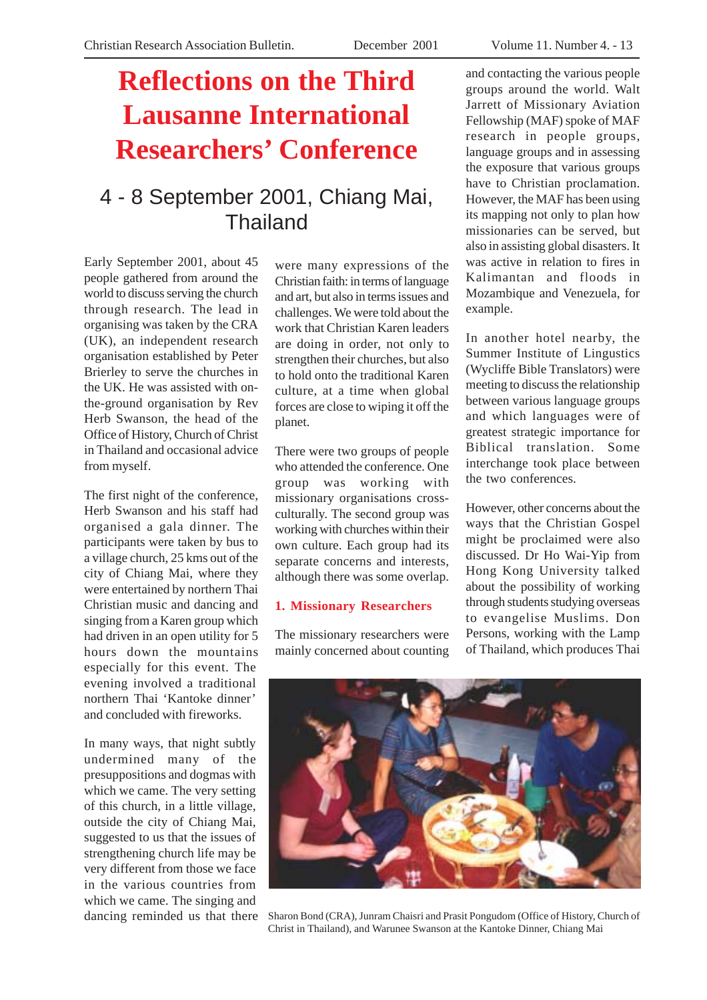# **Reflections on the Third Lausanne International Researchers' Conference**

## 4 - 8 September 2001, Chiang Mai, Thailand

Early September 2001, about 45 people gathered from around the world to discuss serving the church through research. The lead in organising was taken by the CRA (UK), an independent research organisation established by Peter Brierley to serve the churches in the UK. He was assisted with onthe-ground organisation by Rev Herb Swanson, the head of the Office of History, Church of Christ in Thailand and occasional advice from myself.

The first night of the conference, Herb Swanson and his staff had organised a gala dinner. The participants were taken by bus to a village church, 25 kms out of the city of Chiang Mai, where they were entertained by northern Thai Christian music and dancing and singing from a Karen group which had driven in an open utility for 5 hours down the mountains especially for this event. The evening involved a traditional northern Thai 'Kantoke dinner' and concluded with fireworks.

In many ways, that night subtly undermined many of the presuppositions and dogmas with which we came. The very setting of this church, in a little village, outside the city of Chiang Mai, suggested to us that the issues of strengthening church life may be very different from those we face in the various countries from which we came. The singing and dancing reminded us that there were many expressions of the Christian faith: in terms of language and art, but also in terms issues and challenges. We were told about the work that Christian Karen leaders are doing in order, not only to strengthen their churches, but also to hold onto the traditional Karen culture, at a time when global forces are close to wiping it off the planet.

There were two groups of people who attended the conference. One group was working with missionary organisations crossculturally. The second group was working with churches within their own culture. Each group had its separate concerns and interests, although there was some overlap.

### **1. Missionary Researchers**

The missionary researchers were mainly concerned about counting

and contacting the various people groups around the world. Walt Jarrett of Missionary Aviation Fellowship (MAF) spoke of MAF research in people groups, language groups and in assessing the exposure that various groups have to Christian proclamation. However, the MAF has been using its mapping not only to plan how missionaries can be served, but also in assisting global disasters. It was active in relation to fires in Kalimantan and floods in Mozambique and Venezuela, for example.

In another hotel nearby, the Summer Institute of Lingustics (Wycliffe Bible Translators) were meeting to discuss the relationship between various language groups and which languages were of greatest strategic importance for Biblical translation. Some interchange took place between the two conferences.

However, other concerns about the ways that the Christian Gospel might be proclaimed were also discussed. Dr Ho Wai-Yip from Hong Kong University talked about the possibility of working through students studying overseas to evangelise Muslims. Don Persons, working with the Lamp of Thailand, which produces Thai



Sharon Bond (CRA), Junram Chaisri and Prasit Pongudom (Office of History, Church of Christ in Thailand), and Warunee Swanson at the Kantoke Dinner, Chiang Mai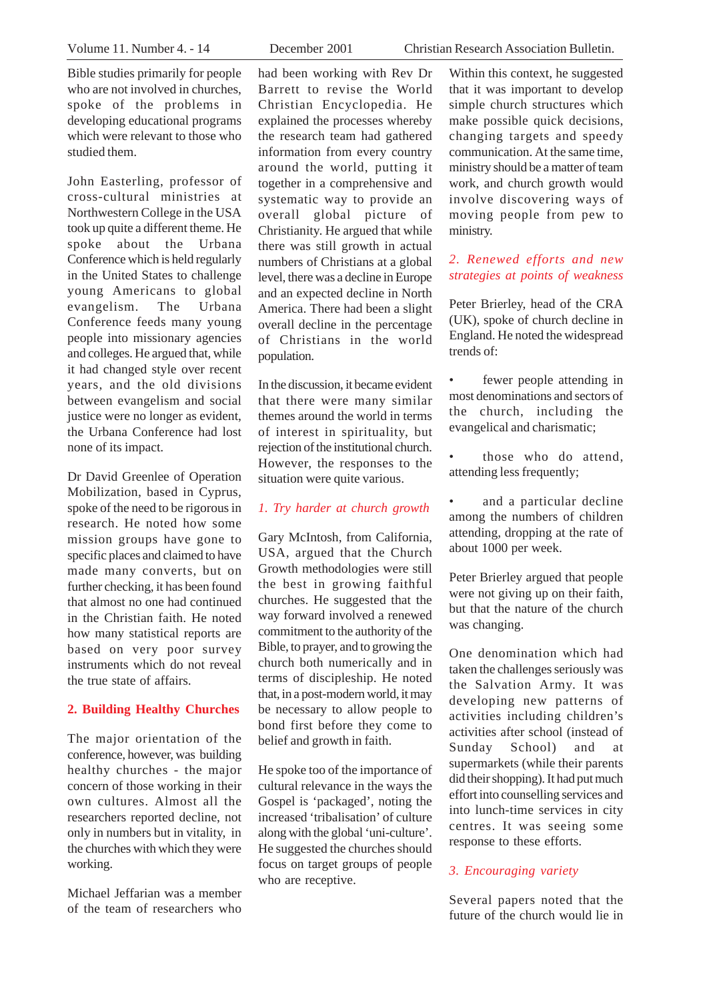Bible studies primarily for people who are not involved in churches, spoke of the problems in developing educational programs which were relevant to those who studied them.

John Easterling, professor of cross-cultural ministries at Northwestern College in the USA took up quite a different theme. He spoke about the Urbana Conference which is held regularly in the United States to challenge young Americans to global evangelism. The Urbana Conference feeds many young people into missionary agencies and colleges. He argued that, while it had changed style over recent years, and the old divisions between evangelism and social justice were no longer as evident. the Urbana Conference had lost none of its impact.

Dr David Greenlee of Operation Mobilization, based in Cyprus, spoke of the need to be rigorous in research. He noted how some mission groups have gone to specific places and claimed to have made many converts, but on further checking, it has been found that almost no one had continued in the Christian faith. He noted how many statistical reports are based on very poor survey instruments which do not reveal the true state of affairs.

#### **2. Building Healthy Churches**

The major orientation of the conference, however, was building healthy churches - the major concern of those working in their own cultures. Almost all the researchers reported decline, not only in numbers but in vitality, in the churches with which they were working.

Michael Jeffarian was a member of the team of researchers who

had been working with Rev Dr Barrett to revise the World Christian Encyclopedia. He explained the processes whereby the research team had gathered information from every country around the world, putting it together in a comprehensive and systematic way to provide an overall global picture of Christianity. He argued that while there was still growth in actual numbers of Christians at a global level, there was a decline in Europe and an expected decline in North America. There had been a slight overall decline in the percentage of Christians in the world population.

In the discussion, it became evident that there were many similar themes around the world in terms of interest in spirituality, but rejection of the institutional church. However, the responses to the situation were quite various.

#### *1. Try harder at church growth*

Gary McIntosh, from California, USA, argued that the Church Growth methodologies were still the best in growing faithful churches. He suggested that the way forward involved a renewed commitment to the authority of the Bible, to prayer, and to growing the church both numerically and in terms of discipleship. He noted that, in a post-modern world, it may be necessary to allow people to bond first before they come to belief and growth in faith.

He spoke too of the importance of cultural relevance in the ways the Gospel is 'packaged', noting the increased 'tribalisation' of culture along with the global 'uni-culture'. He suggested the churches should focus on target groups of people who are receptive.

Volume 11. Number 4. - 14 December 2001 Christian Research Association Bulletin.

Within this context, he suggested that it was important to develop simple church structures which make possible quick decisions, changing targets and speedy communication. At the same time, ministry should be a matter of team work, and church growth would involve discovering ways of moving people from pew to ministry.

### *2. Renewed efforts and new strategies at points of weakness*

Peter Brierley, head of the CRA (UK), spoke of church decline in England. He noted the widespread trends of:

- fewer people attending in most denominations and sectors of the church, including the evangelical and charismatic;
- those who do attend, attending less frequently;
- and a particular decline among the numbers of children attending, dropping at the rate of about 1000 per week.

Peter Brierley argued that people were not giving up on their faith. but that the nature of the church was changing.

One denomination which had taken the challenges seriously was the Salvation Army. It was developing new patterns of activities including children's activities after school (instead of Sunday School) and at supermarkets (while their parents did their shopping). It had put much effort into counselling services and into lunch-time services in city centres. It was seeing some response to these efforts.

#### *3. Encouraging variety*

Several papers noted that the future of the church would lie in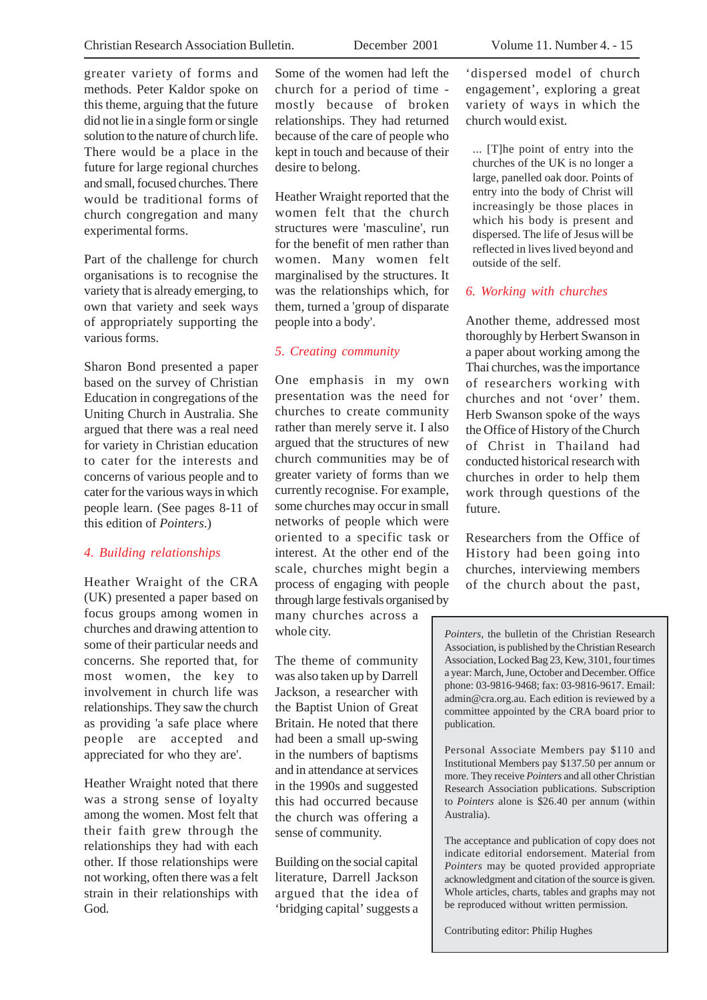greater variety of forms and methods. Peter Kaldor spoke on this theme, arguing that the future did not lie in a single form or single solution to the nature of church life. There would be a place in the future for large regional churches and small, focused churches. There would be traditional forms of church congregation and many experimental forms.

Part of the challenge for church organisations is to recognise the variety that is already emerging, to own that variety and seek ways of appropriately supporting the various forms.

Sharon Bond presented a paper based on the survey of Christian Education in congregations of the Uniting Church in Australia. She argued that there was a real need for variety in Christian education to cater for the interests and concerns of various people and to cater for the various ways in which people learn. (See pages 8-11 of this edition of *Pointers*.)

#### *4. Building relationships*

Heather Wraight of the CRA (UK) presented a paper based on focus groups among women in churches and drawing attention to some of their particular needs and concerns. She reported that, for most women, the key to involvement in church life was relationships. They saw the church as providing 'a safe place where people are accepted and appreciated for who they are'.

Heather Wraight noted that there was a strong sense of loyalty among the women. Most felt that their faith grew through the relationships they had with each other. If those relationships were not working, often there was a felt strain in their relationships with God.

Some of the women had left the church for a period of time mostly because of broken relationships. They had returned because of the care of people who kept in touch and because of their desire to belong.

Heather Wraight reported that the women felt that the church structures were 'masculine', run for the benefit of men rather than women. Many women felt marginalised by the structures. It was the relationships which, for them, turned a 'group of disparate people into a body'.

#### *5. Creating community*

One emphasis in my own presentation was the need for churches to create community rather than merely serve it. I also argued that the structures of new church communities may be of greater variety of forms than we currently recognise. For example, some churches may occur in small networks of people which were oriented to a specific task or interest. At the other end of the scale, churches might begin a process of engaging with people through large festivals organised by many churches across a

whole city. The theme of community

was also taken up by Darrell Jackson, a researcher with the Baptist Union of Great Britain. He noted that there had been a small up-swing in the numbers of baptisms and in attendance at services in the 1990s and suggested this had occurred because the church was offering a sense of community.

Building on the social capital literature, Darrell Jackson argued that the idea of 'bridging capital' suggests a 'dispersed model of church engagement', exploring a great variety of ways in which the church would exist.

... [T]he point of entry into the churches of the UK is no longer a large, panelled oak door. Points of entry into the body of Christ will increasingly be those places in which his body is present and dispersed. The life of Jesus will be reflected in lives lived beyond and outside of the self.

#### *6. Working with churches*

Another theme, addressed most thoroughly by Herbert Swanson in a paper about working among the Thai churches, was the importance of researchers working with churches and not 'over' them. Herb Swanson spoke of the ways the Office of History of the Church of Christ in Thailand had conducted historical research with churches in order to help them work through questions of the future.

Researchers from the Office of History had been going into churches, interviewing members of the church about the past,

*Pointers,* the bulletin of the Christian Research *Pointers,* the bulletin of the Christian Research Association, is published by the Christian Research Association, is published by the Christian Research Association, Locked Bag 23, Kew, 3101, four times Association, Locked Bag 23, Kew, 3101, four times a year: March, June, October and December. Office a year: March, June, October and December. Office phone: 03-9816-9468; fax: 03-9816-9617. Each phone: 03-9816-9468; fax: 03-9816-9617. Email: phone. 05-2010-2400, tax. 05-2010-2017. Email.<br>admin@cra.org.au. Each edition is reviewed by a the CRA board prior to publication. committee appointed by the CRA board prior to  $\mathcal{L}_{\text{P}}$ publication.

Personal Associate Members pay \$110 and more. They receive *Pointers* and all other Christian Institutional Members pay \$137.50 per annum or mstructional Members pay \$137.30 per annum or<br>more. They receive *Pointers* and all other Christian more. They receive *Pointers* and an other emistian<br>Research Association publications. Subscription Australia). to *Pointers* alone is \$26.40 per annum (within  $T_{\text{total}}$ Australia).

The acceptance and publication of copy does not *Phic acceptance and problemation of copy does not* indicate editorial endorsement. Material from *Pointers* may be quoted provided appropriate rothers may be quoted provided appropriate<br>acknowledgment and citation of the source is given. acknowledgment and enation of the source is given.<br>Whole articles, charts, tables and graphs may not be reproduced without written permission.

Contributing editor: Philip Hughes